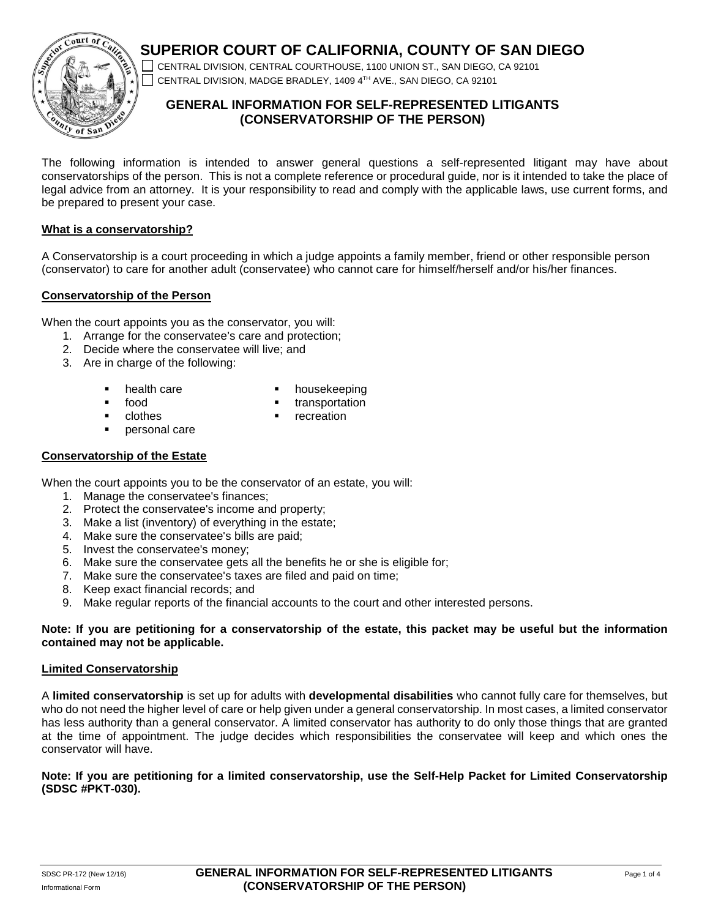# **SUPERIOR COURT OF CALIFORNIA, COUNTY OF SAN DIEGO**



CENTRAL DIVISION, CENTRAL COURTHOUSE, 1100 UNION ST., SAN DIEGO, CA 92101 CENTRAL DIVISION, MADGE BRADLEY, 1409 4TH AVE., SAN DIEGO, CA 92101

# **GENERAL INFORMATION FOR SELF-REPRESENTED LITIGANTS (CONSERVATORSHIP OF THE PERSON)**

The following information is intended to answer general questions a self-represented litigant may have about conservatorships of the person. This is not a complete reference or procedural guide, nor is it intended to take the place of legal advice from an attorney. It is your responsibility to read and comply with the applicable laws, use current forms, and be prepared to present your case.

## **What is a conservatorship?**

A Conservatorship is a court proceeding in which a judge appoints a family member, friend or other responsible person (conservator) to care for another adult (conservatee) who cannot care for himself/herself and/or his/her finances.

## **Conservatorship of the Person**

When the court appoints you as the conservator, you will:

- 1. Arrange for the conservatee's care and protection;
- 2. Decide where the conservatee will live; and
- 3. Are in charge of the following:
	- health care
- housekeeping

food

transportation

**•** clothes

- **•** recreation
- **personal care**

## **Conservatorship of the Estate**

When the court appoints you to be the conservator of an estate, you will:

- 1. Manage the conservatee's finances;
- 2. Protect the conservatee's income and property;
- 3. Make a list (inventory) of everything in the estate;
- 4. Make sure the conservatee's bills are paid;
- 5. Invest the conservatee's money;
- 6. Make sure the conservatee gets all the benefits he or she is eligible for;
- 7. Make sure the conservatee's taxes are filed and paid on time;
- 8. Keep exact financial records; and
- 9. Make regular reports of the financial accounts to the court and other interested persons.

## **Note: If you are petitioning for a conservatorship of the estate, this packet may be useful but the information contained may not be applicable.**

## **Limited Conservatorship**

A **limited conservatorship** is set up for adults with **developmental disabilities** who cannot fully care for themselves, but who do not need the higher level of care or help given under a general conservatorship. In most cases, a limited conservator has less authority than a general conservator. A limited conservator has authority to do only those things that are granted at the time of appointment. The judge decides which responsibilities the conservatee will keep and which ones the conservator will have.

## **Note: If you are petitioning for a limited conservatorship, use the Self-Help Packet for Limited Conservatorship (SDSC #PKT-030).**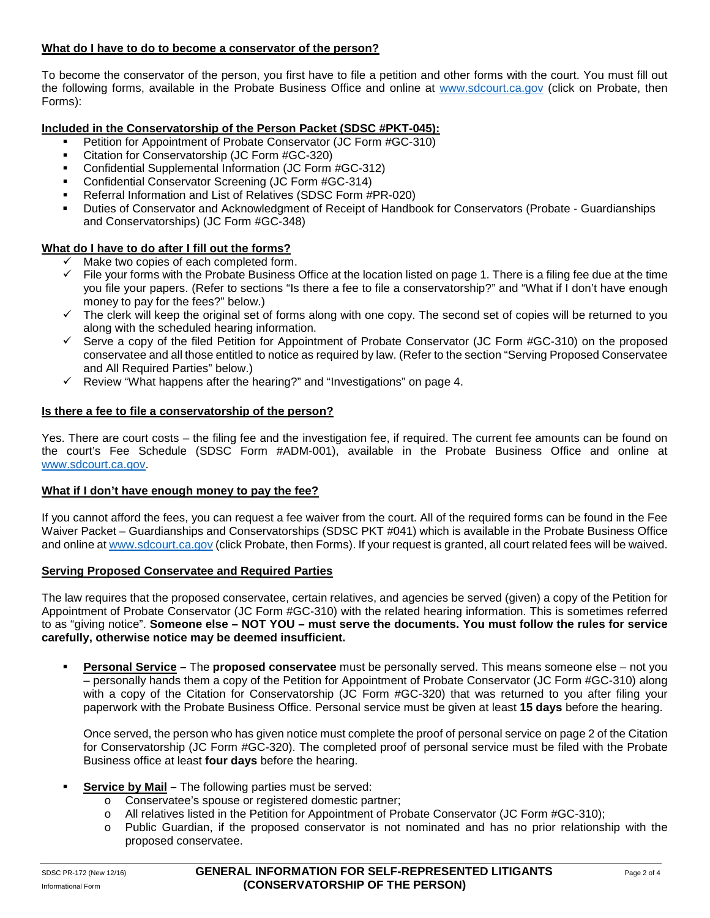## **What do I have to do to become a conservator of the person?**

To become the conservator of the person, you first have to file a petition and other forms with the court. You must fill out the following forms, available in the Probate Business Office and online at [www.sdcourt.ca.gov](http://www.sdcourt.ca.gov/) (click on Probate, then Forms):

## **Included in the Conservatorship of the Person Packet (SDSC #PKT-045):**

- **Petition for Appointment of Probate Conservator (JC Form #GC-310)**
- Citation for Conservatorship (JC Form #GC-320)
- Confidential Supplemental Information (JC Form #GC-312)
- Confidential Conservator Screening (JC Form #GC-314)
- Referral Information and List of Relatives (SDSC Form #PR-020)
- Duties of Conservator and Acknowledgment of Receipt of Handbook for Conservators (Probate Guardianships and Conservatorships) (JC Form #GC-348)

## **What do I have to do after I fill out the forms?**

- $\checkmark$  Make two copies of each completed form.
- $\checkmark$  File vour forms with the Probate Business Office at the location listed on page 1. There is a filing fee due at the time you file your papers. (Refer to sections "Is there a fee to file a conservatorship?" and "What if I don't have enough money to pay for the fees?" below.)
- $\checkmark$  The clerk will keep the original set of forms along with one copy. The second set of copies will be returned to you along with the scheduled hearing information.
- $\checkmark$  Serve a copy of the filed Petition for Appointment of Probate Conservator (JC Form #GC-310) on the proposed conservatee and all those entitled to notice as required by law. (Refer to the section "Serving Proposed Conservatee and All Required Parties" below.)
- $\checkmark$  Review "What happens after the hearing?" and "Investigations" on page 4.

## **Is there a fee to file a conservatorship of the person?**

Yes. There are court costs – the filing fee and the investigation fee, if required. The current fee amounts can be found on the court's Fee Schedule (SDSC Form #ADM-001), available in the Probate Business Office and online at [www.sdcourt.ca.gov.](http://www.sdcourt.ca.gov/)

## **What if I don't have enough money to pay the fee?**

If you cannot afford the fees, you can request a fee waiver from the court. All of the required forms can be found in the Fee Waiver Packet – Guardianships and Conservatorships (SDSC PKT #041) which is available in the Probate Business Office and online at [www.sdcourt.ca.gov](http://www.sdcourt.ca.gov/) (click Probate, then Forms). If your request is granted, all court related fees will be waived.

## **Serving Proposed Conservatee and Required Parties**

The law requires that the proposed conservatee, certain relatives, and agencies be served (given) a copy of the Petition for Appointment of Probate Conservator (JC Form #GC-310) with the related hearing information. This is sometimes referred to as "giving notice". **Someone else – NOT YOU – must serve the documents. You must follow the rules for service carefully, otherwise notice may be deemed insufficient.**

 **Personal Service –** The **proposed conservatee** must be personally served. This means someone else – not you – personally hands them a copy of the Petition for Appointment of Probate Conservator (JC Form #GC-310) along with a copy of the Citation for Conservatorship (JC Form #GC-320) that was returned to you after filing your paperwork with the Probate Business Office. Personal service must be given at least **15 days** before the hearing.

Once served, the person who has given notice must complete the proof of personal service on page 2 of the Citation for Conservatorship (JC Form #GC-320). The completed proof of personal service must be filed with the Probate Business office at least **four days** before the hearing.

- **Service by Mail –** The following parties must be served:
	- o Conservatee's spouse or registered domestic partner;
	- o All relatives listed in the Petition for Appointment of Probate Conservator (JC Form #GC-310);
	- o Public Guardian, if the proposed conservator is not nominated and has no prior relationship with the proposed conservatee.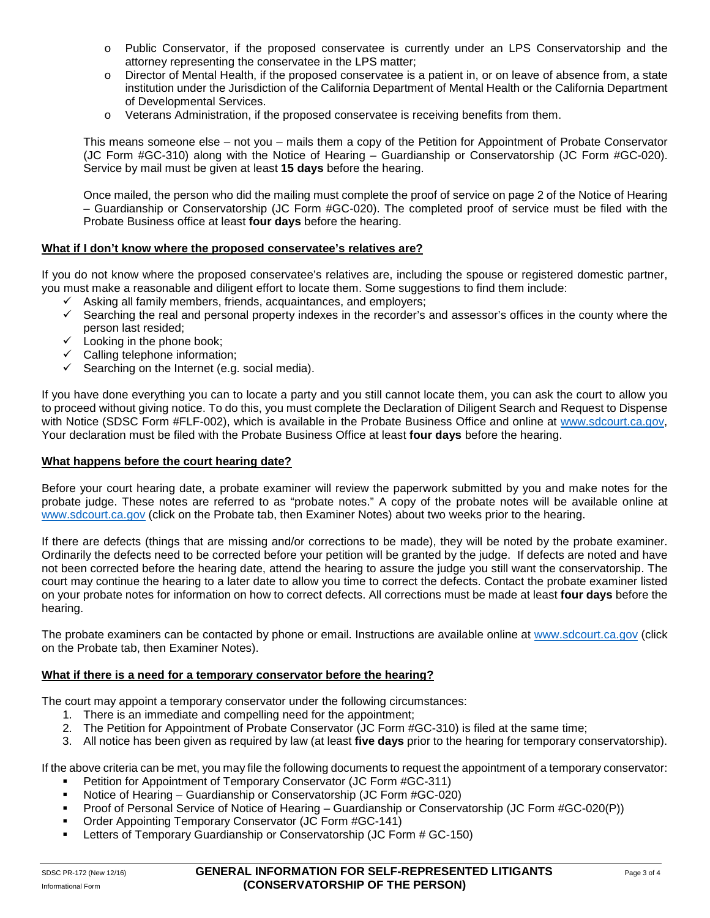- o Public Conservator, if the proposed conservatee is currently under an LPS Conservatorship and the attorney representing the conservatee in the LPS matter;
- o Director of Mental Health, if the proposed conservatee is a patient in, or on leave of absence from, a state institution under the Jurisdiction of the California Department of Mental Health or the California Department of Developmental Services.
- o Veterans Administration, if the proposed conservatee is receiving benefits from them.

This means someone else – not you – mails them a copy of the Petition for Appointment of Probate Conservator (JC Form #GC-310) along with the Notice of Hearing – Guardianship or Conservatorship (JC Form #GC-020). Service by mail must be given at least **15 days** before the hearing.

Once mailed, the person who did the mailing must complete the proof of service on page 2 of the Notice of Hearing – Guardianship or Conservatorship (JC Form #GC-020). The completed proof of service must be filed with the Probate Business office at least **four days** before the hearing.

## **What if I don't know where the proposed conservatee's relatives are?**

If you do not know where the proposed conservatee's relatives are, including the spouse or registered domestic partner, you must make a reasonable and diligent effort to locate them. Some suggestions to find them include:

- $\checkmark$  Asking all family members, friends, acquaintances, and employers;
- $\checkmark$  Searching the real and personal property indexes in the recorder's and assessor's offices in the county where the person last resided;
- $\checkmark$  Looking in the phone book;
- $\checkmark$  Calling telephone information;
- $\checkmark$  Searching on the Internet (e.g. social media).

If you have done everything you can to locate a party and you still cannot locate them, you can ask the court to allow you to proceed without giving notice. To do this, you must complete the Declaration of Diligent Search and Request to Dispense with Notice (SDSC Form #FLF-002), which is available in the Probate Business Office and online at [www.sdcourt.ca.gov,](http://www.sdcourt.ca.gov/) Your declaration must be filed with the Probate Business Office at least **four days** before the hearing.

#### **What happens before the court hearing date?**

Before your court hearing date, a probate examiner will review the paperwork submitted by you and make notes for the probate judge. These notes are referred to as "probate notes." A copy of the probate notes will be available online at [www.sdcourt.ca.gov](http://www.sdcourt.ca.gov/) (click on the Probate tab, then Examiner Notes) about two weeks prior to the hearing.

If there are defects (things that are missing and/or corrections to be made), they will be noted by the probate examiner. Ordinarily the defects need to be corrected before your petition will be granted by the judge. If defects are noted and have not been corrected before the hearing date, attend the hearing to assure the judge you still want the conservatorship. The court may continue the hearing to a later date to allow you time to correct the defects. Contact the probate examiner listed on your probate notes for information on how to correct defects. All corrections must be made at least **four days** before the hearing.

The probate examiners can be contacted by phone or email. Instructions are available online at [www.sdcourt.ca.gov](http://www.sdcourt.ca.gov/) (click on the Probate tab, then Examiner Notes).

#### **What if there is a need for a temporary conservator before the hearing?**

The court may appoint a temporary conservator under the following circumstances:

- 1. There is an immediate and compelling need for the appointment;
- 2. The Petition for Appointment of Probate Conservator (JC Form #GC-310) is filed at the same time;
- 3. All notice has been given as required by law (at least **five days** prior to the hearing for temporary conservatorship).

If the above criteria can be met, you may file the following documents to request the appointment of a temporary conservator:

- **•** Petition for Appointment of Temporary Conservator (JC Form #GC-311)
- Notice of Hearing Guardianship or Conservatorship (JC Form #GC-020)
- **Proof of Personal Service of Notice of Hearing Guardianship or Conservatorship (JC Form #GC-020(P))**
- **Order Appointing Temporary Conservator (JC Form #GC-141)**
- Letters of Temporary Guardianship or Conservatorship (JC Form # GC-150)